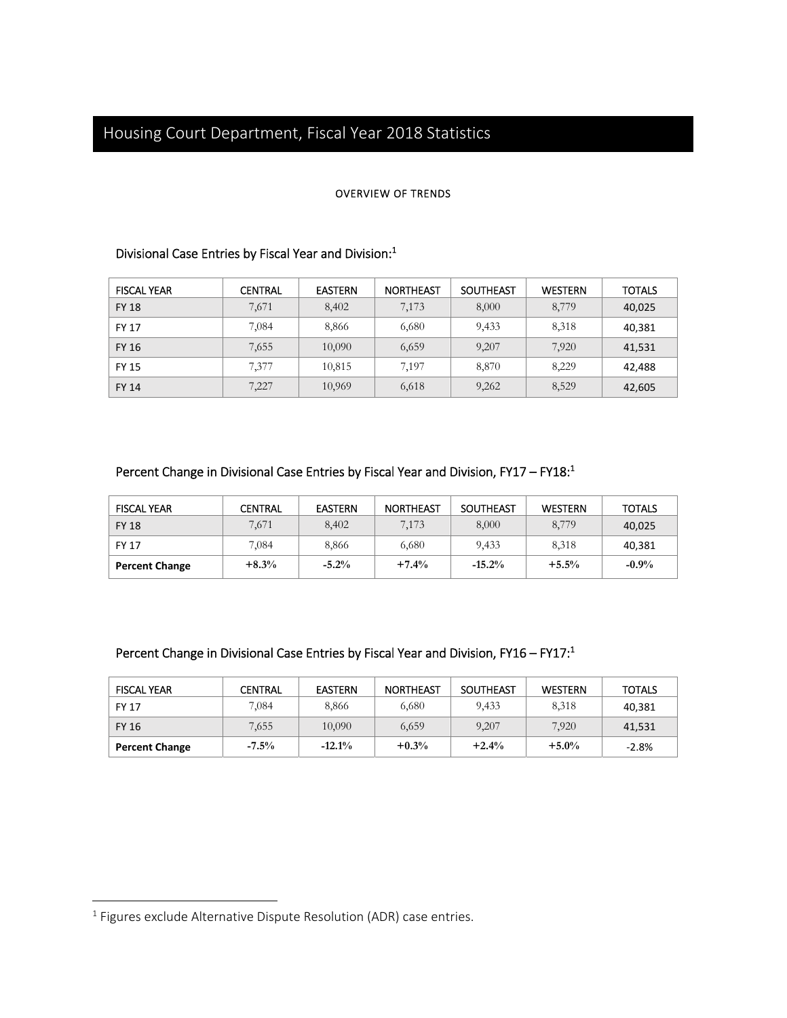#### OVERVIEW OF TRENDS

## Divisional Case Entries by Fiscal Year and Division: $1$

| <b>FISCAL YEAR</b> | <b>CENTRAL</b> | <b>EASTERN</b> | <b>NORTHEAST</b> | <b>SOUTHEAST</b> | <b>WESTERN</b> | <b>TOTALS</b> |
|--------------------|----------------|----------------|------------------|------------------|----------------|---------------|
| <b>FY 18</b>       | 7,671          | 8,402          | 7,173            | 8,000            | 8,779          | 40,025        |
| <b>FY 17</b>       | 7,084          | 8,866          | 6,680            | 9,433            | 8,318          | 40,381        |
| <b>FY 16</b>       | 7,655          | 10,090         | 6,659            | 9,207            | 7,920          | 41,531        |
| <b>FY 15</b>       | 7,377          | 10,815         | 7.197            | 8,870            | 8,229          | 42,488        |
| <b>FY 14</b>       | 7,227          | 10,969         | 6,618            | 9,262            | 8,529          | 42,605        |

### Percent Change in Divisional Case Entries by Fiscal Year and Division, FY17 – FY18:<sup>1</sup>

| <b>FISCAL YEAR</b>    | CENTRAL | <b>EASTERN</b> | <b>NORTHEAST</b> | SOUTHEAST | <b>WESTERN</b> | <b>TOTALS</b> |
|-----------------------|---------|----------------|------------------|-----------|----------------|---------------|
| <b>FY 18</b>          | 7,671   | 8,402          | 7,173            | 8,000     | 8,779          | 40,025        |
| <b>FY 17</b>          | 7,084   | 8,866          | 6,680            | 9,433     | 8,318          | 40,381        |
| <b>Percent Change</b> | $+8.3%$ | $-5.2\%$       | $+7.4%$          | $-15.2%$  | $+5.5%$        | $-0.9\%$      |

## Percent Change in Divisional Case Entries by Fiscal Year and Division, FY16 – FY17:1

| <b>FISCAL YEAR</b>    | <b>CENTRAL</b> | <b>EASTERN</b> | <b>NORTHEAST</b> | <b>SOUTHEAST</b> | <b>WESTERN</b> | <b>TOTALS</b> |
|-----------------------|----------------|----------------|------------------|------------------|----------------|---------------|
| <b>FY 17</b>          | 7,084          | 8,866          | 6,680            | 9.433            | 8,318          | 40,381        |
| <b>FY 16</b>          | 7,655          | 10,090         | 6,659            | 9,207            | 7,920          | 41,531        |
| <b>Percent Change</b> | $-7.5\%$       | $-12.1%$       | $+0.3%$          | $+2.4%$          | $+5.0%$        | $-2.8%$       |

 $\overline{a}$ 

<sup>&</sup>lt;sup>1</sup> Figures exclude Alternative Dispute Resolution (ADR) case entries.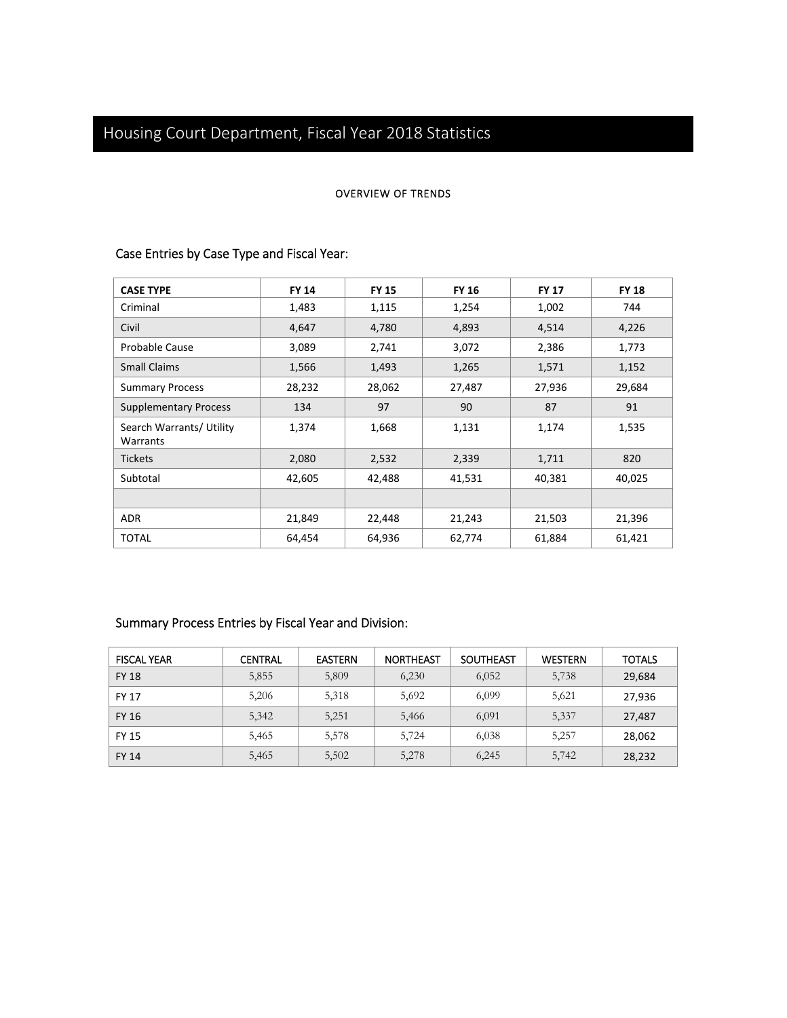#### OVERVIEW OF TRENDS

## Case Entries by Case Type and Fiscal Year:

| <b>CASE TYPE</b>                     | <b>FY 14</b> | <b>FY 15</b> | <b>FY 16</b> | <b>FY 17</b> | <b>FY 18</b> |
|--------------------------------------|--------------|--------------|--------------|--------------|--------------|
| Criminal                             | 1,483        | 1,115        | 1,254        | 1,002        | 744          |
| Civil                                | 4,647        | 4,780        | 4,893        | 4,514        | 4,226        |
| Probable Cause                       | 3,089        | 2,741        | 3,072        | 2,386        | 1,773        |
| <b>Small Claims</b>                  | 1,566        | 1,493        | 1,265        | 1,571        | 1,152        |
| <b>Summary Process</b>               | 28,232       | 28,062       | 27,487       | 27,936       | 29,684       |
| <b>Supplementary Process</b>         | 134          | 97           | 90           | 87           | 91           |
| Search Warrants/ Utility<br>Warrants | 1,374        | 1,668        | 1,131        | 1,174        | 1,535        |
| <b>Tickets</b>                       | 2,080        | 2,532        | 2,339        | 1,711        | 820          |
| Subtotal                             | 42,605       | 42,488       | 41,531       | 40,381       | 40,025       |
|                                      |              |              |              |              |              |
| <b>ADR</b>                           | 21,849       | 22,448       | 21,243       | 21,503       | 21,396       |
| <b>TOTAL</b>                         | 64,454       | 64,936       | 62,774       | 61,884       | 61,421       |

## Summary Process Entries by Fiscal Year and Division:

| <b>FISCAL YEAR</b> | <b>CENTRAL</b> | <b>EASTERN</b> | <b>NORTHEAST</b> | <b>SOUTHEAST</b> | <b>WESTERN</b> | <b>TOTALS</b> |
|--------------------|----------------|----------------|------------------|------------------|----------------|---------------|
| <b>FY 18</b>       | 5,855          | 5,809          | 6,230            | 6,052            | 5,738          | 29,684        |
| <b>FY 17</b>       | 5,206          | 5,318          | 5,692            | 6,099            | 5,621          | 27,936        |
| <b>FY 16</b>       | 5,342          | 5,251          | 5,466            | 6,091            | 5,337          | 27,487        |
| <b>FY 15</b>       | 5,465          | 5,578          | 5,724            | 6,038            | 5,257          | 28,062        |
| <b>FY 14</b>       | 5,465          | 5,502          | 5,278            | 6,245            | 5,742          | 28,232        |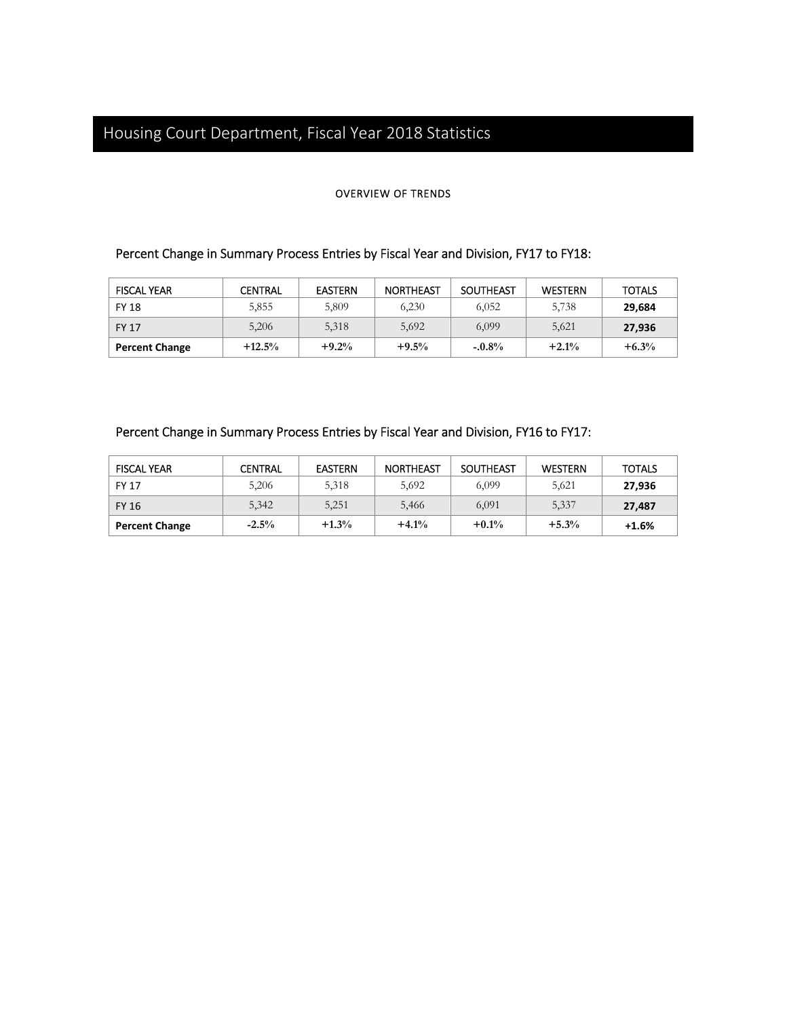#### OVERVIEW OF TRENDS

## Percent Change in Summary Process Entries by Fiscal Year and Division, FY17 to FY18:

| <b>FISCAL YEAR</b>    | CENTRAL  | <b>EASTERN</b> | <b>NORTHEAST</b> | SOUTHEAST | <b>WESTERN</b> | <b>TOTALS</b> |
|-----------------------|----------|----------------|------------------|-----------|----------------|---------------|
| <b>FY 18</b>          | 5,855    | 5,809          | 6.230            | 6,052     | 5,738          | 29,684        |
| <b>FY 17</b>          | 5,206    | 5,318          | 5,692            | 6,099     | 5,621          | 27,936        |
| <b>Percent Change</b> | $+12.5%$ | $+9.2%$        | $+9.5%$          | $-.0.8%$  | $+2.1%$        | $+6.3%$       |

#### Percent Change in Summary Process Entries by Fiscal Year and Division, FY16 to FY17:

| <b>FISCAL YEAR</b>    | <b>CENTRAL</b> | <b>EASTERN</b> | <b>NORTHEAST</b> | SOUTHEAST | <b>WESTERN</b> | <b>TOTALS</b> |
|-----------------------|----------------|----------------|------------------|-----------|----------------|---------------|
| <b>FY 17</b>          | 5,206          | 5,318          | 5,692            | 6.099     | 5.621          | 27,936        |
| FY 16                 | 5,342          | 5,251          | 5,466            | 6,091     | 5,337          | 27.487        |
| <b>Percent Change</b> | $-2.5\%$       | $+1.3%$        | $+4.1%$          | $+0.1%$   | $+5.3%$        | $+1.6%$       |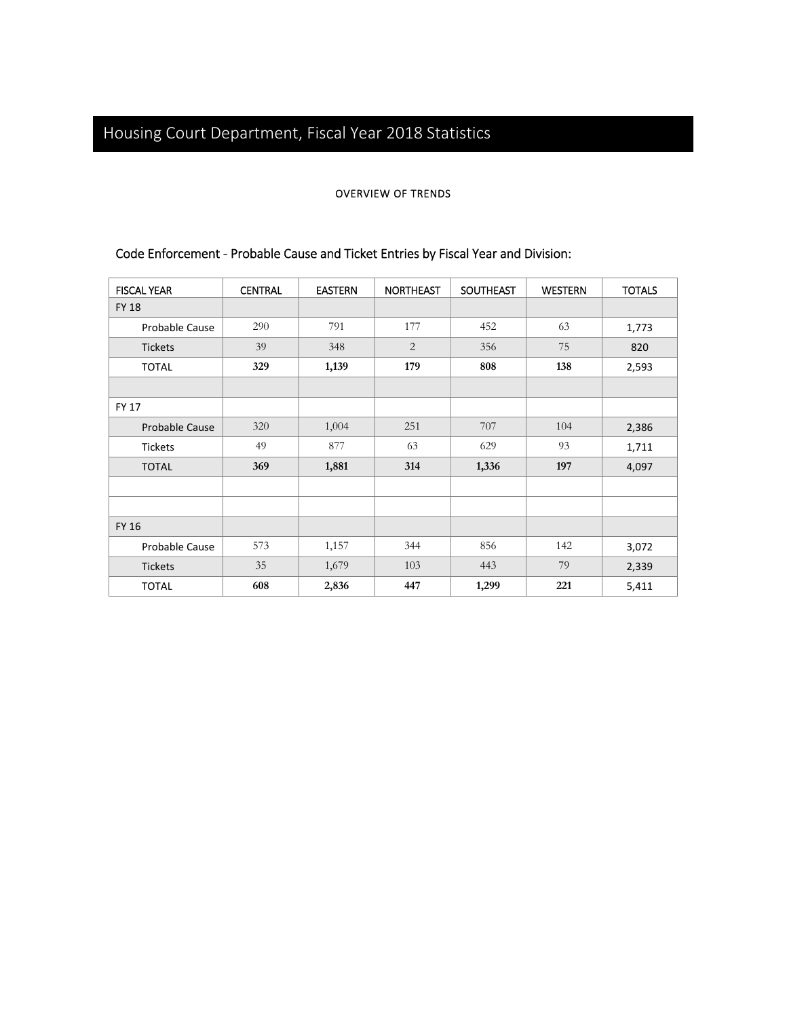#### OVERVIEW OF TRENDS

| <b>FISCAL YEAR</b> | <b>CENTRAL</b> | <b>EASTERN</b> | <b>NORTHEAST</b> | <b>SOUTHEAST</b> | <b>WESTERN</b> | <b>TOTALS</b> |
|--------------------|----------------|----------------|------------------|------------------|----------------|---------------|
| <b>FY 18</b>       |                |                |                  |                  |                |               |
| Probable Cause     | 290            | 791            | 177              | 452              | 63             | 1,773         |
| <b>Tickets</b>     | 39             | 348            | $\overline{2}$   | 356              | 75             | 820           |
| <b>TOTAL</b>       | 329            | 1,139          | 179              | 808              | 138            | 2,593         |
|                    |                |                |                  |                  |                |               |
| <b>FY 17</b>       |                |                |                  |                  |                |               |
| Probable Cause     | 320            | 1,004          | 251              | 707              | 104            | 2,386         |
| <b>Tickets</b>     | 49             | 877            | 63               | 629              | 93             | 1,711         |
| <b>TOTAL</b>       | 369            | 1,881          | 314              | 1,336            | 197            | 4,097         |
|                    |                |                |                  |                  |                |               |
|                    |                |                |                  |                  |                |               |
| <b>FY 16</b>       |                |                |                  |                  |                |               |
| Probable Cause     | 573            | 1,157          | 344              | 856              | 142            | 3,072         |
| <b>Tickets</b>     | 35             | 1,679          | 103              | 443              | 79             | 2,339         |
| <b>TOTAL</b>       | 608            | 2,836          | 447              | 1,299            | 221            | 5,411         |

## Code Enforcement ‐ Probable Cause and Ticket Entries by Fiscal Year and Division: